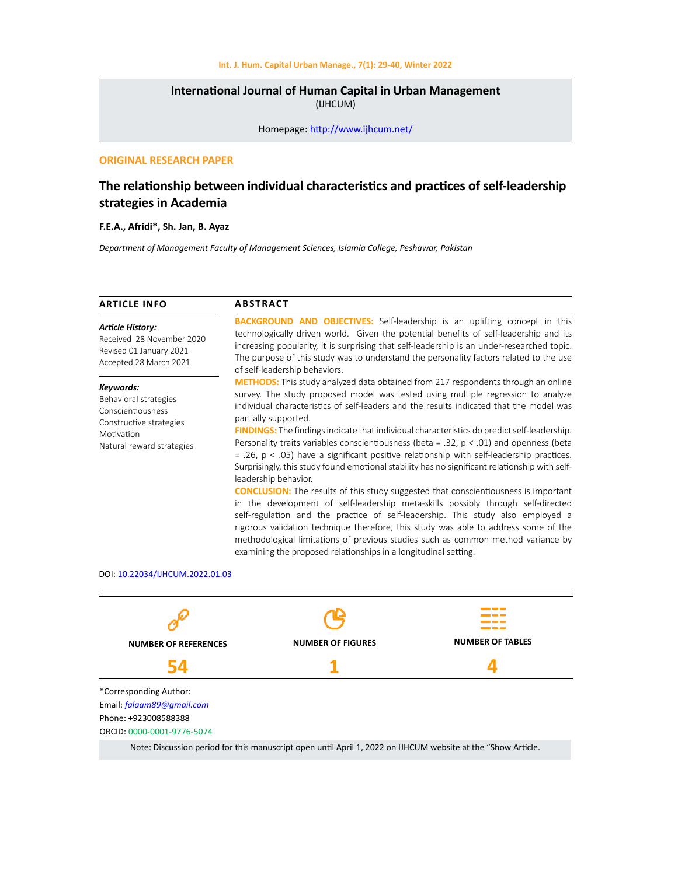# **International Journal of Human Capital in Urban Management**  (IJHCUM)

Homepage: http://www.ijhcum.net/

# **ORIGINAL RESEARCH PAPER**

# **The relationship between individual characteristics and practices of self-leadership strategies in Academia**

# **F.E.A., Afridi\*, Sh. Jan, B. Ayaz**

*Department of Management Faculty of Management Sciences, Islamia College, Peshawar, Pakistan*

| <b>ARTICLE INFO</b>                                                                                                           | <b>ABSTRACT</b>                                                                                                                                                                                                                                                                                                                                                                                                                                                                                                                                                                                                                                                                                                                                                                                                                                                                                                                                                                                                                                                                                                                                                                                                                                   |  |  |
|-------------------------------------------------------------------------------------------------------------------------------|---------------------------------------------------------------------------------------------------------------------------------------------------------------------------------------------------------------------------------------------------------------------------------------------------------------------------------------------------------------------------------------------------------------------------------------------------------------------------------------------------------------------------------------------------------------------------------------------------------------------------------------------------------------------------------------------------------------------------------------------------------------------------------------------------------------------------------------------------------------------------------------------------------------------------------------------------------------------------------------------------------------------------------------------------------------------------------------------------------------------------------------------------------------------------------------------------------------------------------------------------|--|--|
| <b>Article History:</b><br>Received 28 November 2020<br>Revised 01 January 2021<br>Accepted 28 March 2021                     | <b>BACKGROUND AND OBJECTIVES:</b> Self-leadership is an uplifting concept in this<br>technologically driven world. Given the potential benefits of self-leadership and its<br>increasing popularity, it is surprising that self-leadership is an under-researched topic.<br>The purpose of this study was to understand the personality factors related to the use<br>of self-leadership behaviors.                                                                                                                                                                                                                                                                                                                                                                                                                                                                                                                                                                                                                                                                                                                                                                                                                                               |  |  |
| Keywords:<br>Behavioral strategies<br>Conscientiousness<br>Constructive strategies<br>Motivation<br>Natural reward strategies | <b>METHODS:</b> This study analyzed data obtained from 217 respondents through an online<br>survey. The study proposed model was tested using multiple regression to analyze<br>individual characteristics of self-leaders and the results indicated that the model was<br>partially supported.<br><b>FINDINGS:</b> The findings indicate that individual characteristics do predict self-leadership.<br>Personality traits variables conscientiousness (beta = .32, $p < .01$ ) and openness (beta<br>$= .26$ , $p < .05$ ) have a significant positive relationship with self-leadership practices.<br>Surprisingly, this study found emotional stability has no significant relationship with self-<br>leadership behavior.<br><b>CONCLUSION:</b> The results of this study suggested that conscientiousness is important<br>in the development of self-leadership meta-skills possibly through self-directed<br>self-regulation and the practice of self-leadership. This study also employed a<br>rigorous validation technique therefore, this study was able to address some of the<br>methodological limitations of previous studies such as common method variance by<br>examining the proposed relationships in a longitudinal setting. |  |  |
| DOL 10 23034/UUCUM 2023 01:02                                                                                                 |                                                                                                                                                                                                                                                                                                                                                                                                                                                                                                                                                                                                                                                                                                                                                                                                                                                                                                                                                                                                                                                                                                                                                                                                                                                   |  |  |



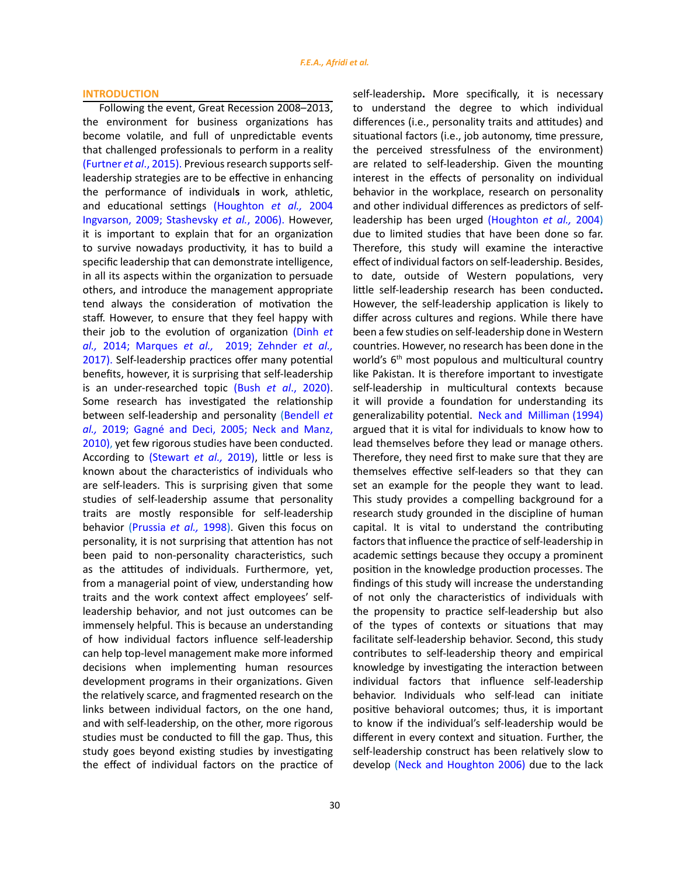## **INTRODUCTION**

Following the event, Great Recession 2008–2013, the environment for business organizations has become volatile, and full of unpredictable events that challenged professionals to perform in a reality (Furtner *et al*., 2015). Previous research supports selfleadership strategies are to be effective in enhancing the performance of individual**s** in work, athletic, and educational settings (Houghton *et al.,* 2004 Ingvarson, 2009; Stashevsky *et al.*, 2006). However, it is important to explain that for an organization to survive nowadays productivity, it has to build a specific leadership that can demonstrate intelligence, in all its aspects within the organization to persuade others, and introduce the management appropriate tend always the consideration of motivation the staff. However, to ensure that they feel happy with their job to the evolution of organization (Dinh *et al.,* 2014; Marques *et al.,* 2019; Zehnder *et al.,* 2017). Self-leadership practices offer many potential benefits, however, it is surprising that self-leadership is an under-researched topic (Bush *et al*., 2020). Some research has investigated the relationship between self-leadership and personality (Bendell *et al.,* 2019; Gagné and Deci, 2005; Neck and Manz, 2010), yet few rigorous studies have been conducted. According to (Stewart *et al.,* 2019), little or less is known about the characteristics of individuals who are self-leaders. This is surprising given that some studies of self-leadership assume that personality traits are mostly responsible for self-leadership behavior (Prussia *et al.,* 1998). Given this focus on personality, it is not surprising that attention has not been paid to non-personality characteristics, such as the attitudes of individuals. Furthermore, yet, from a managerial point of view, understanding how traits and the work context affect employees' selfleadership behavior, and not just outcomes can be immensely helpful. This is because an understanding of how individual factors influence self-leadership can help top-level management make more informed decisions when implementing human resources development programs in their organizations. Given the relatively scarce, and fragmented research on the links between individual factors, on the one hand, and with self-leadership, on the other, more rigorous studies must be conducted to fill the gap. Thus, this study goes beyond existing studies by investigating the effect of individual factors on the practice of

30

self-leadership**.** More specifically, it is necessary to understand the degree to which individual differences (i.e., personality traits and attitudes) and situational factors (i.e., job autonomy, time pressure, the perceived stressfulness of the environment) are related to self-leadership. Given the mounting interest in the effects of personality on individual behavior in the workplace, research on personality and other individual differences as predictors of selfleadership has been urged (Houghton *et al.,* 2004) due to limited studies that have been done so far. Therefore, this study will examine the interactive effect of individual factors on self-leadership. Besides, to date, outside of Western populations, very little self-leadership research has been conducted**.**  However, the self-leadership application is likely to differ across cultures and regions. While there have been a few studies on self-leadership done in Western countries. However, no research has been done in the world's 6<sup>th</sup> most populous and multicultural country like Pakistan. It is therefore important to investigate self-leadership in multicultural contexts because it will provide a foundation for understanding its generalizability potential. Neck and Milliman (1994) argued that it is vital for individuals to know how to lead themselves before they lead or manage others. Therefore, they need first to make sure that they are themselves effective self-leaders so that they can set an example for the people they want to lead. This study provides a compelling background for a research study grounded in the discipline of human capital. It is vital to understand the contributing factors that influence the practice of self-leadership in academic settings because they occupy a prominent position in the knowledge production processes. The findings of this study will increase the understanding of not only the characteristics of individuals with the propensity to practice self-leadership but also of the types of contexts or situations that may facilitate self-leadership behavior. Second, this study contributes to self-leadership theory and empirical knowledge by investigating the interaction between individual factors that influence self-leadership behavior. Individuals who self-lead can initiate positive behavioral outcomes; thus, it is important to know if the individual's self-leadership would be different in every context and situation. Further, the self-leadership construct has been relatively slow to develop (Neck and Houghton 2006) due to the lack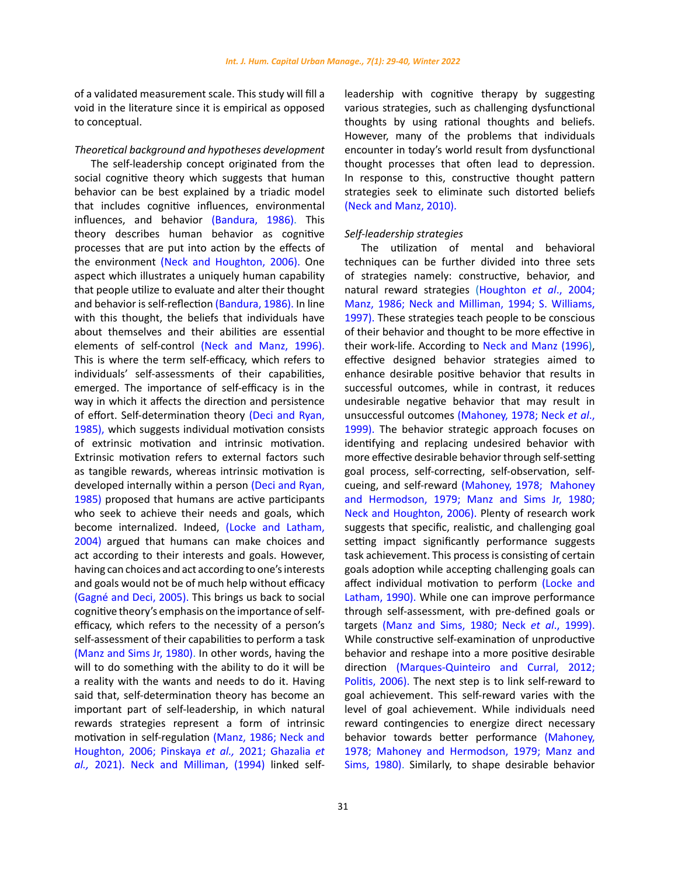of a validated measurement scale. This study will fill a void in the literature since it is empirical as opposed to conceptual.

### *Theoretical background and hypotheses development*

The self-leadership concept originated from the social cognitive theory which suggests that human behavior can be best explained by a triadic model that includes cognitive influences, environmental influences, and behavior (Bandura, 1986). This theory describes human behavior as cognitive processes that are put into action by the effects of the environment (Neck and Houghton, 2006). One aspect which illustrates a uniquely human capability that people utilize to evaluate and alter their thought and behavior is self-reflection (Bandura, 1986). In line with this thought, the beliefs that individuals have about themselves and their abilities are essential elements of self-control (Neck and Manz, 1996). This is where the term self-efficacy, which refers to individuals' self-assessments of their capabilities, emerged. The importance of self-efficacy is in the way in which it affects the direction and persistence of effort. Self-determination theory (Deci and Ryan, 1985), which suggests individual motivation consists of extrinsic motivation and intrinsic motivation. Extrinsic motivation refers to external factors such as tangible rewards, whereas intrinsic motivation is developed internally within a person (Deci and Ryan, 1985) proposed that humans are active participants who seek to achieve their needs and goals, which become internalized. Indeed, (Locke and Latham, 2004) argued that humans can make choices and act according to their interests and goals. However, having can choices and act according to one's interests and goals would not be of much help without efficacy (Gagné and Deci, 2005). This brings us back to social cognitive theory's emphasis on the importance of selfefficacy, which refers to the necessity of a person's self-assessment of their capabilities to perform a task (Manz and Sims Jr, 1980). In other words, having the will to do something with the ability to do it will be a reality with the wants and needs to do it. Having said that, self-determination theory has become an important part of self-leadership, in which natural rewards strategies represent a form of intrinsic motivation in self-regulation (Manz, 1986; Neck and Houghton, 2006; Pinskaya *et al.,* 2021; Ghazalia *et al.,* 2021). Neck and Milliman, (1994) linked self-

affect individual motivation to perform (Locke and Latham, 1990). While one can improve performance through self-assessment, with pre-defined goals or targets (Manz and Sims, 1980; Neck *et al*., 1999). While constructive self-examination of unproductive behavior and reshape into a more positive desirable direction (Marques-Quinteiro and Curral, 2012; Politis, 2006). The next step is to link self-reward to goal achievement. This self-reward varies with the level of goal achievement. While individuals need reward contingencies to energize direct necessary behavior towards better performance (Mahoney, 1978; Mahoney and Hermodson, 1979; Manz and

Sims, 1980). Similarly, to shape desirable behavior

leadership with cognitive therapy by suggesting various strategies, such as challenging dysfunctional thoughts by using rational thoughts and beliefs. However, many of the problems that individuals encounter in today's world result from dysfunctional thought processes that often lead to depression. In response to this, constructive thought pattern strategies seek to eliminate such distorted beliefs (Neck and Manz, 2010).

The utilization of mental and behavioral techniques can be further divided into three sets of strategies namely: constructive, behavior, and natural reward strategies (Houghton *et al*., 2004; Manz, 1986; Neck and Milliman, 1994; S. Williams, 1997). These strategies teach people to be conscious of their behavior and thought to be more effective in their work-life. According to Neck and Manz (1996), effective designed behavior strategies aimed to enhance desirable positive behavior that results in successful outcomes, while in contrast, it reduces undesirable negative behavior that may result in unsuccessful outcomes (Mahoney, 1978; Neck *et al*., 1999). The behavior strategic approach focuses on identifying and replacing undesired behavior with more effective desirable behavior through self-setting goal process, self-correcting, self-observation, selfcueing, and self-reward (Mahoney, 1978; Mahoney and Hermodson, 1979; Manz and Sims Jr, 1980; Neck and Houghton, 2006). Plenty of research work suggests that specific, realistic, and challenging goal setting impact significantly performance suggests task achievement. This process is consisting of certain goals adoption while accepting challenging goals can

## *Self-leadership strategies*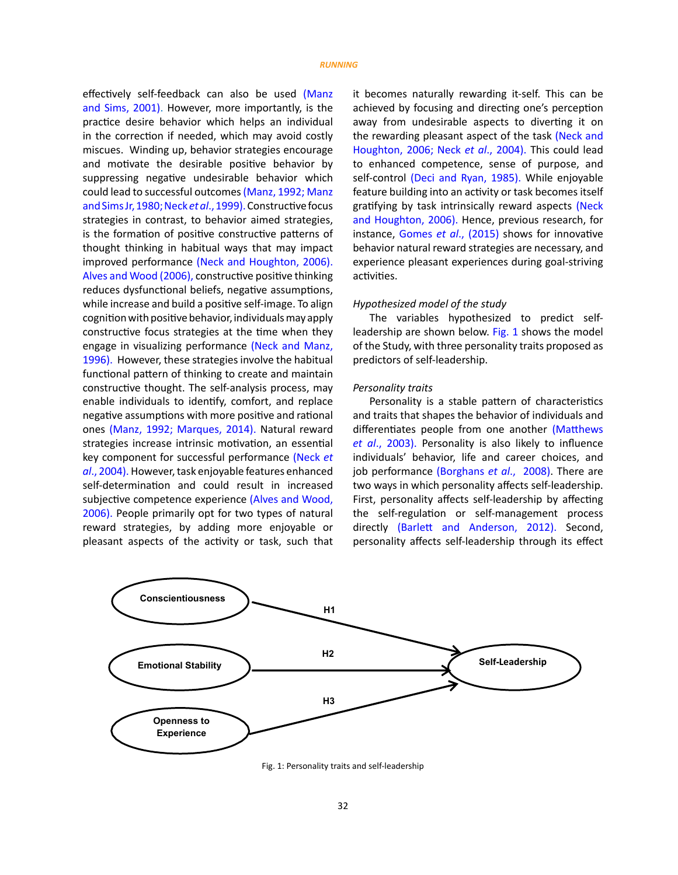effectively self-feedback can also be used (Manz and Sims, 2001). However, more importantly, is the practice desire behavior which helps an individual in the correction if needed, which may avoid costly miscues. Winding up, behavior strategies encourage and motivate the desirable positive behavior by suppressing negative undesirable behavior which could lead to successful outcomes (Manz, 1992; Manz and Sims Jr, 1980; Neck *et al*., 1999).Constructive focus strategies in contrast, to behavior aimed strategies, is the formation of positive constructive patterns of thought thinking in habitual ways that may impact improved performance (Neck and Houghton, 2006). Alves and Wood (2006), constructive positive thinking reduces dysfunctional beliefs, negative assumptions, while increase and build a positive self-image. To align cognition with positive behavior, individuals may apply constructive focus strategies at the time when they engage in visualizing performance (Neck and Manz, 1996). However, these strategies involve the habitual functional pattern of thinking to create and maintain constructive thought. The self-analysis process, may enable individuals to identify, comfort, and replace negative assumptions with more positive and rational ones (Manz, 1992; Marques, 2014). Natural reward strategies increase intrinsic motivation, an essential key component for successful performance (Neck *et al*., 2004). However, task enjoyable features enhanced self-determination and could result in increased subjective competence experience (Alves and Wood, 2006). People primarily opt for two types of natural reward strategies, by adding more enjoyable or pleasant aspects of the activity or task, such that

it becomes naturally rewarding it-self. This can be achieved by focusing and directing one's perception away from undesirable aspects to diverting it on the rewarding pleasant aspect of the task (Neck and Houghton, 2006; Neck *et al*., 2004). This could lead to enhanced competence, sense of purpose, and self-control (Deci and Ryan, 1985). While enjoyable feature building into an activity or task becomes itself gratifying by task intrinsically reward aspects (Neck and Houghton, 2006). Hence, previous research, for instance, Gomes *et al*., (2015) shows for innovative behavior natural reward strategies are necessary, and experience pleasant experiences during goal-striving activities.

### *Hypothesized model of the study*

The variables hypothesized to predict selfleadership are shown below. Fig. 1 shows the model of the Study, with three personality traits proposed as predictors of self-leadership.

## *Personality traits*

Personality is a stable pattern of characteristics and traits that shapes the behavior of individuals and differentiates people from one another (Matthews *et al*., 2003). Personality is also likely to influence individuals' behavior, life and career choices, and job performance (Borghans *et al*., 2008). There are two ways in which personality affects self-leadership. First, personality affects self-leadership by affecting the self-regulation or self-management process directly (Barlett and Anderson, 2012). Second, personality affects self-leadership through its effect



Fig. 1: Personality traits and self-leadership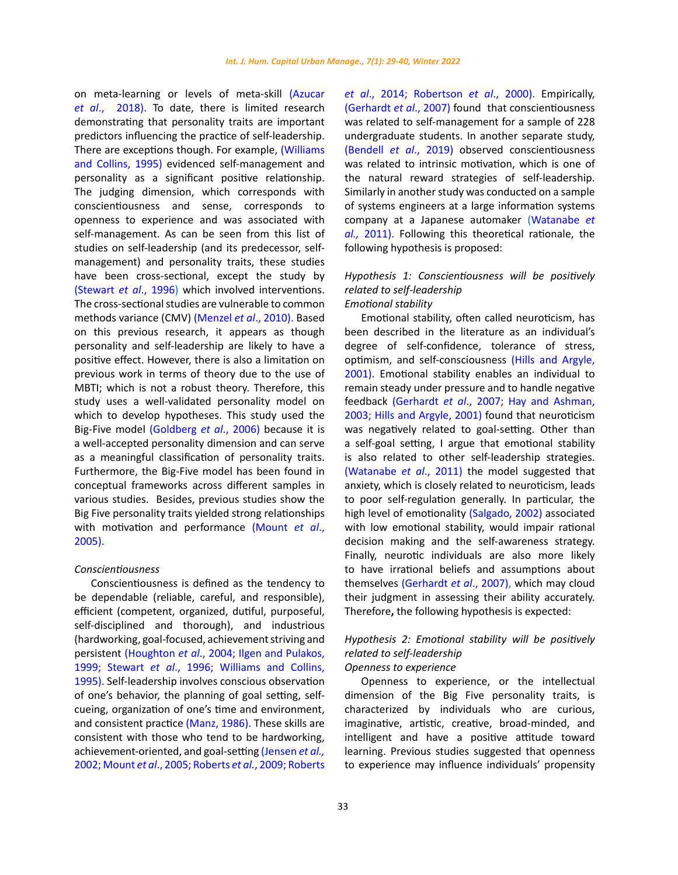on meta-learning or levels of meta-skill (Azucar *et al*., 2018). To date, there is limited research demonstrating that personality traits are important predictors influencing the practice of self-leadership. There are exceptions though. For example, (Williams and Collins, 1995) evidenced self-management and personality as a significant positive relationship. The judging dimension, which corresponds with conscientiousness and sense, corresponds to openness to experience and was associated with self-management. As can be seen from this list of studies on self-leadership (and its predecessor, selfmanagement) and personality traits, these studies have been cross-sectional, except the study by (Stewart *et al*., 1996) which involved interventions. The cross-sectional studies are vulnerable to common methods variance (CMV) (Menzel *et al*., 2010). Based on this previous research, it appears as though personality and self-leadership are likely to have a positive effect. However, there is also a limitation on previous work in terms of theory due to the use of MBTI; which is not a robust theory. Therefore, this study uses a well-validated personality model on which to develop hypotheses. This study used the Big-Five model (Goldberg *et al*., 2006) because it is a well-accepted personality dimension and can serve as a meaningful classification of personality traits. Furthermore, the Big-Five model has been found in conceptual frameworks across different samples in various studies. Besides, previous studies show the Big Five personality traits yielded strong relationships with motivation and performance (Mount *et al*., 2005).

# *Conscientiousness*

Conscientiousness is defined as the tendency to be dependable (reliable, careful, and responsible), efficient (competent, organized, dutiful, purposeful, self-disciplined and thorough), and industrious (hardworking, goal-focused, achievement striving and persistent (Houghton *et al*., 2004; Ilgen and Pulakos, 1999; Stewart *et al*., 1996; Williams and Collins, 1995). Self-leadership involves conscious observation of one's behavior, the planning of goal setting, selfcueing, organization of one's time and environment, and consistent practice (Manz, 1986). These skills are consistent with those who tend to be hardworking, achievement-oriented, and goal-setting (Jensen *et al.,* 2002; Mount *et al*., 2005; Roberts *et al.*, 2009; Roberts

*et al*., 2014; Robertson *et al*., 2000). Empirically, (Gerhardt *et al*., 2007) found that conscientiousness was related to self-management for a sample of 228 undergraduate students. In another separate study, (Bendell *et al*., 2019) observed conscientiousness was related to intrinsic motivation, which is one of the natural reward strategies of self-leadership. Similarly in another study was conducted on a sample of systems engineers at a large information systems company at a Japanese automaker (Watanabe *et al.,* 2011). Following this theoretical rationale, the following hypothesis is proposed:

# *Hypothesis 1: Conscientiousness will be positively related to self-leadership Emotional stability*

Emotional stability, often called neuroticism, has been described in the literature as an individual's degree of self-confidence, tolerance of stress, optimism, and self-consciousness (Hills and Argyle, 2001). Emotional stability enables an individual to remain steady under pressure and to handle negative feedback (Gerhardt *et al*., 2007; Hay and Ashman, 2003; Hills and Argyle, 2001) found that neuroticism was negatively related to goal-setting. Other than a self-goal setting, I argue that emotional stability is also related to other self-leadership strategies. (Watanabe *et al*., 2011) the model suggested that anxiety, which is closely related to neuroticism, leads to poor self-regulation generally. In particular, the high level of emotionality (Salgado, 2002) associated with low emotional stability, would impair rational decision making and the self-awareness strategy. Finally, neurotic individuals are also more likely to have irrational beliefs and assumptions about themselves (Gerhardt *et al*., 2007), which may cloud their judgment in assessing their ability accurately. Therefore**,** the following hypothesis is expected:

# *Hypothesis 2: Emotional stability will be positively related to self-leadership*

# *Openness to experience*

Openness to experience, or the intellectual dimension of the Big Five personality traits, is characterized by individuals who are curious, imaginative, artistic, creative, broad-minded, and intelligent and have a positive attitude toward learning. Previous studies suggested that openness to experience may influence individuals' propensity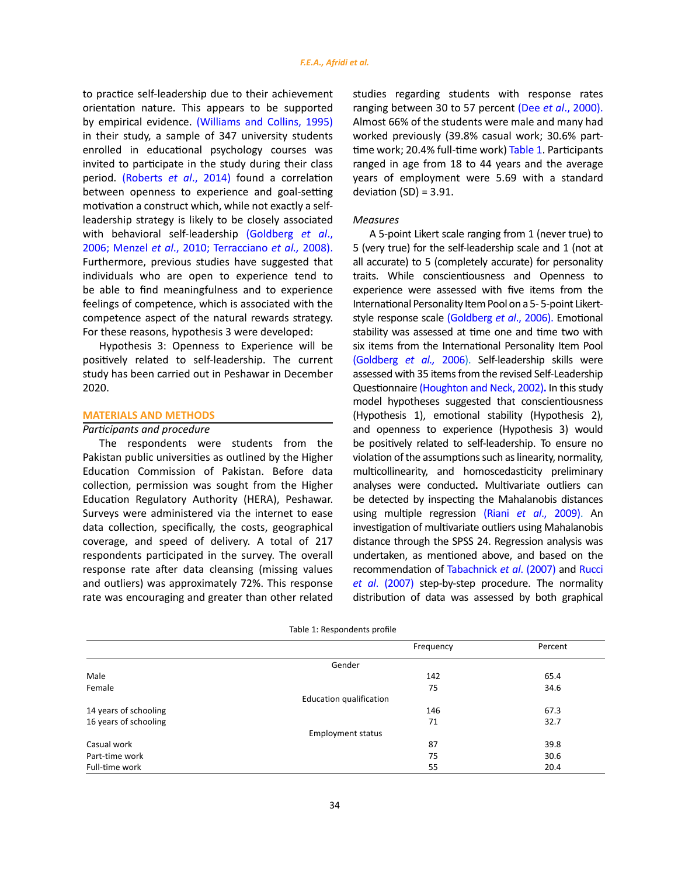to practice self-leadership due to their achievement orientation nature. This appears to be supported by empirical evidence. (Williams and Collins, 1995) in their study, a sample of 347 university students enrolled in educational psychology courses was invited to participate in the study during their class period. (Roberts *et al*., 2014) found a correlation between openness to experience and goal-setting motivation a construct which, while not exactly a selfleadership strategy is likely to be closely associated with behavioral self-leadership (Goldberg *et al*., 2006; Menzel *et al*., 2010; Terracciano *et al.,* 2008). Furthermore, previous studies have suggested that individuals who are open to experience tend to be able to find meaningfulness and to experience feelings of competence, which is associated with the competence aspect of the natural rewards strategy. For these reasons, hypothesis 3 were developed:

Hypothesis 3: Openness to Experience will be positively related to self-leadership. The current study has been carried out in Peshawar in December 2020.

# **MATERIALS AND METHODS**

# *Participants and procedure*

The respondents were students from the Pakistan public universities as outlined by the Higher Education Commission of Pakistan. Before data collection, permission was sought from the Higher Education Regulatory Authority (HERA), Peshawar. Surveys were administered via the internet to ease data collection, specifically, the costs, geographical coverage, and speed of delivery. A total of 217 respondents participated in the survey. The overall response rate after data cleansing (missing values and outliers) was approximately 72%. This response rate was encouraging and greater than other related

studies regarding students with response rates ranging between 30 to 57 percent (Dee *et al*., 2000). Almost 66% of the students were male and many had worked previously (39.8% casual work; 30.6% parttime work; 20.4% full-time work) Table 1. Participants ranged in age from 18 to 44 years and the average years of employment were 5.69 with a standard deviation  $(SD) = 3.91$ .

#### *Measures*

A 5-point Likert scale ranging from 1 (never true) to 5 (very true) for the self-leadership scale and 1 (not at all accurate) to 5 (completely accurate) for personality traits. While conscientiousness and Openness to experience were assessed with five items from the International Personality Item Pool on a 5- 5-point Likertstyle response scale (Goldberg *et al*., 2006). Emotional stability was assessed at time one and time two with six items from the International Personality Item Pool (Goldberg *et al.,* 2006). Self-leadership skills were assessed with 35 items from the revised Self-Leadership Questionnaire (Houghton and Neck, 2002)**.** In this study model hypotheses suggested that conscientiousness (Hypothesis 1), emotional stability (Hypothesis 2), and openness to experience (Hypothesis 3) would be positively related to self-leadership. To ensure no violation of the assumptions such as linearity, normality, multicollinearity, and homoscedasticity preliminary analyses were conducted**.** Multivariate outliers can be detected by inspecting the Mahalanobis distances using multiple regression (Riani *et al*., 2009). An investigation of multivariate outliers using Mahalanobis distance through the SPSS 24. Regression analysis was undertaken, as mentioned above, and based on the recommendation of Tabachnick *et al*. (2007) and Rucci *et al*. (2007) step-by-step procedure. The normality distribution of data was assessed by both graphical

|  | Table 1: Respondents profile |  |
|--|------------------------------|--|

|                       | Frequency                      | Percent |
|-----------------------|--------------------------------|---------|
|                       | Gender                         |         |
| Male                  | 142                            | 65.4    |
| Female                | 75                             | 34.6    |
|                       | <b>Education qualification</b> |         |
| 14 years of schooling | 146                            | 67.3    |
| 16 years of schooling | 71                             | 32.7    |
|                       | <b>Employment status</b>       |         |
| Casual work           | 87                             | 39.8    |
| Part-time work        | 75                             | 30.6    |
| Full-time work        | 55                             | 20.4    |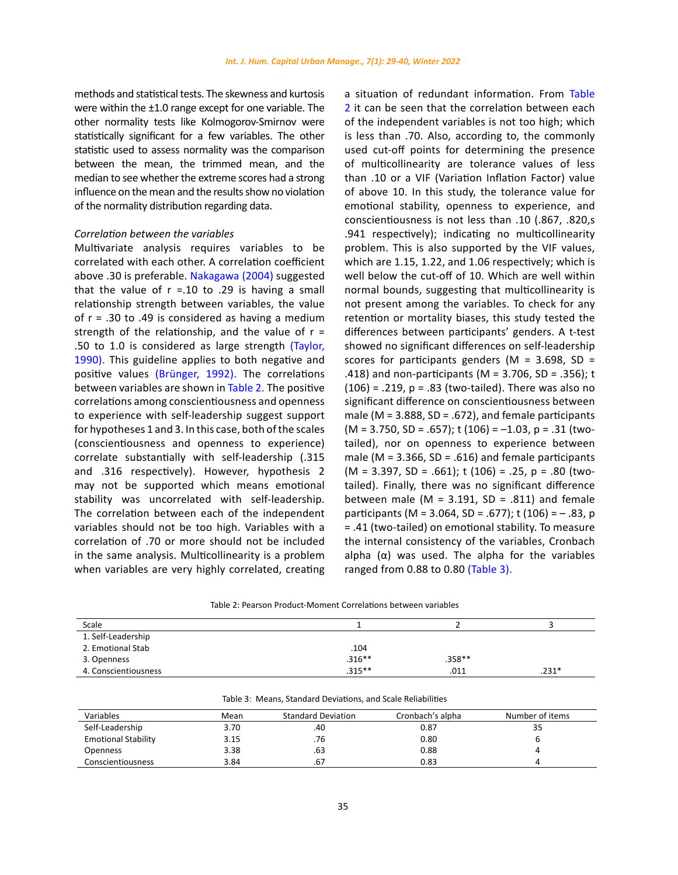methods and statistical tests. The skewness and kurtosis were within the ±1.0 range except for one variable. The other normality tests like Kolmogorov-Smirnov were statistically significant for a few variables. The other statistic used to assess normality was the comparison between the mean, the trimmed mean, and the median to see whether the extreme scores had a strong influence on the mean and the results show no violation of the normality distribution regarding data.

## *Correlation between the variables*

Multivariate analysis requires variables to be correlated with each other. A correlation coefficient above .30 is preferable. Nakagawa (2004) suggested that the value of  $r = 0.10$  to .29 is having a small relationship strength between variables, the value of r = .30 to .49 is considered as having a medium strength of the relationship, and the value of  $r =$ .50 to 1.0 is considered as large strength (Taylor, 1990). This guideline applies to both negative and positive values (Brünger, 1992). The correlations between variables are shown in Table 2. The positive correlations among conscientiousness and openness to experience with self-leadership suggest support for hypotheses 1 and 3. In this case, both of the scales (conscientiousness and openness to experience) correlate substantially with self-leadership (.315 and .316 respectively). However, hypothesis 2 may not be supported which means emotional stability was uncorrelated with self-leadership. The correlation between each of the independent variables should not be too high. Variables with a correlation of .70 or more should not be included in the same analysis. Multicollinearity is a problem when variables are very highly correlated, creating a situation of redundant information. From Table 2 it can be seen that the correlation between each of the independent variables is not too high; which is less than .70. Also, according to, the commonly used cut-off points for determining the presence of multicollinearity are tolerance values of less than .10 or a VIF (Variation Inflation Factor) value of above 10. In this study, the tolerance value for emotional stability, openness to experience, and conscientiousness is not less than .10 (.867, .820,s .941 respectively); indicating no multicollinearity problem. This is also supported by the VIF values, which are 1.15, 1.22, and 1.06 respectively; which is well below the cut-off of 10. Which are well within normal bounds, suggesting that multicollinearity is not present among the variables. To check for any retention or mortality biases, this study tested the differences between participants' genders. A t-test showed no significant differences on self-leadership scores for participants genders ( $M = 3.698$ , SD = .418) and non-participants (M = 3.706, SD = .356); t  $(106) = .219$ ,  $p = .83$  (two-tailed). There was also no significant difference on conscientiousness between male ( $M = 3.888$ ,  $SD = .672$ ), and female participants  $(M = 3.750, SD = .657)$ ; t  $(106) = -1.03$ , p = .31 (twotailed), nor on openness to experience between male (M =  $3.366$ , SD =  $.616$ ) and female participants  $(M = 3.397, SD = .661)$ ; t (106) = .25, p = .80 (twotailed). Finally, there was no significant difference between male (M =  $3.191$ , SD =  $.811$ ) and female participants (M = 3.064, SD = .677); t (106) =  $-$  .83, p = .41 (two-tailed) on emotional stability. To measure the internal consistency of the variables, Cronbach alpha  $(\alpha)$  was used. The alpha for the variables ranged from 0.88 to 0.80 (Table 3).

| Table 2: Pearson Product-Moment Correlations between variables |  |  |
|----------------------------------------------------------------|--|--|
|                                                                |  |  |

| Scale                |           |          |         |
|----------------------|-----------|----------|---------|
| 1. Self-Leadership   |           |          |         |
| 2. Emotional Stab    | .104      |          |         |
| 3. Openness          | $.316***$ | $.358**$ |         |
| 4. Conscientiousness | $.315***$ | .011     | $.231*$ |

|                            |      | Table 3: Means, Standard Deviations, and Scale Reliabilities |                  |                 |
|----------------------------|------|--------------------------------------------------------------|------------------|-----------------|
| Variables                  | Mean | <b>Standard Deviation</b>                                    | Cronbach's alpha | Number of items |
| Self-Leadership            | 3.70 | .40                                                          | 0.87             | 35              |
| <b>Emotional Stability</b> | 3.15 | .76                                                          | 0.80             |                 |
| <b>Openness</b>            | 3.38 | .63                                                          | 0.88             |                 |
| Conscientiousness          | 3.84 | .67                                                          | 0.83             |                 |

Table 3: Means, Standard Deviations, and Scale Reliabilities Table 3: Means, Standard Deviations, and Scale Reliabilities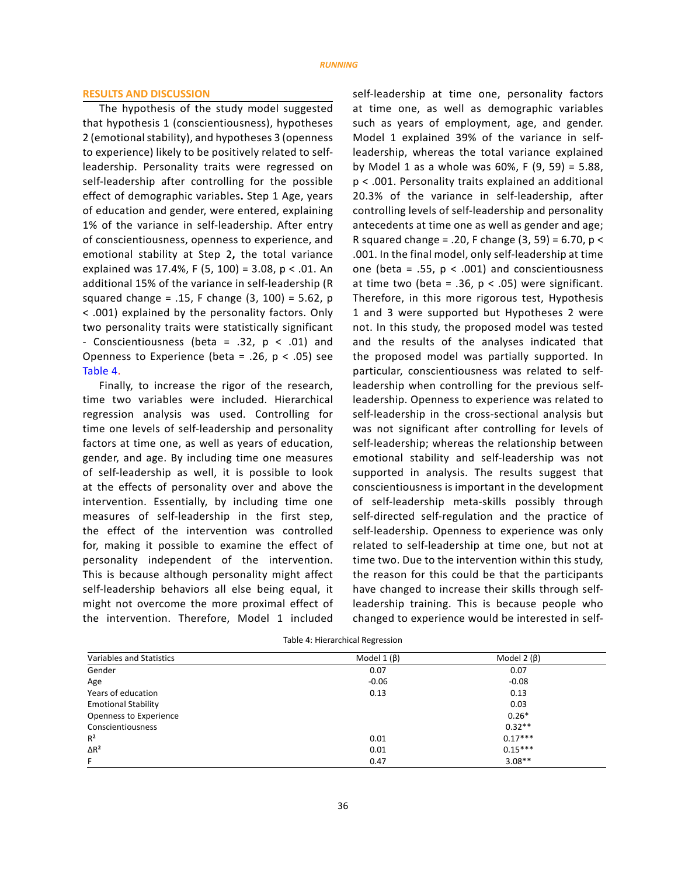# **RESULTS AND DISCUSSION**

The hypothesis of the study model suggested that hypothesis 1 (conscientiousness), hypotheses 2 (emotional stability), and hypotheses 3 (openness to experience) likely to be positively related to selfleadership. Personality traits were regressed on self-leadership after controlling for the possible effect of demographic variables**.** Step 1 Age, years of education and gender, were entered, explaining 1% of the variance in self-leadership. After entry of conscientiousness, openness to experience, and emotional stability at Step 2**,** the total variance explained was 17.4%, F (5, 100) = 3.08, p < .01. An additional 15% of the variance in self-leadership (R squared change = .15, F change  $(3, 100)$  = 5.62, p < .001) explained by the personality factors. Only two personality traits were statistically significant - Conscientiousness (beta = .32,  $p < .01$ ) and Openness to Experience (beta = .26,  $p < .05$ ) see Table 4.

Finally, to increase the rigor of the research, time two variables were included. Hierarchical regression analysis was used. Controlling for time one levels of self-leadership and personality factors at time one, as well as years of education, gender, and age. By including time one measures of self-leadership as well, it is possible to look at the effects of personality over and above the intervention. Essentially, by including time one measures of self-leadership in the first step, the effect of the intervention was controlled for, making it possible to examine the effect of personality independent of the intervention. This is because although personality might affect self-leadership behaviors all else being equal, it might not overcome the more proximal effect of the intervention. Therefore, Model 1 included

self-leadership at time one, personality factors at time one, as well as demographic variables such as years of employment, age, and gender. Model 1 explained 39% of the variance in selfleadership, whereas the total variance explained by Model 1 as a whole was  $60\%$ , F  $(9, 59) = 5.88$ , p < .001. Personality traits explained an additional 20.3% of the variance in self-leadership, after controlling levels of self-leadership and personality antecedents at time one as well as gender and age; R squared change = .20, F change  $(3, 59) = 6.70$ , p < .001. In the final model, only self-leadership at time one (beta = .55,  $p < .001$ ) and conscientiousness at time two (beta = .36,  $p < .05$ ) were significant. Therefore, in this more rigorous test, Hypothesis 1 and 3 were supported but Hypotheses 2 were not. In this study, the proposed model was tested and the results of the analyses indicated that the proposed model was partially supported. In particular, conscientiousness was related to selfleadership when controlling for the previous selfleadership. Openness to experience was related to self-leadership in the cross-sectional analysis but was not significant after controlling for levels of self-leadership; whereas the relationship between emotional stability and self-leadership was not supported in analysis. The results suggest that conscientiousness is important in the development of self-leadership meta-skills possibly through self-directed self-regulation and the practice of self-leadership. Openness to experience was only related to self-leadership at time one, but not at time two. Due to the intervention within this study, the reason for this could be that the participants have changed to increase their skills through selfleadership training. This is because people who changed to experience would be interested in self-

| Variables and Statistics   | Model $1(\beta)$ | Model 2 $(\beta)$ |  |
|----------------------------|------------------|-------------------|--|
| Gender                     | 0.07             | 0.07              |  |
| Age                        | $-0.06$          | $-0.08$           |  |
| Years of education         | 0.13             | 0.13              |  |
| <b>Emotional Stability</b> |                  | 0.03              |  |
| Openness to Experience     |                  | $0.26*$           |  |
| Conscientiousness          |                  | $0.32**$          |  |
| $R^2$                      | 0.01             | $0.17***$         |  |
| $\Delta R^2$               | 0.01             | $0.15***$         |  |
| F.                         | 0.47             | $3.08**$          |  |

Table 4: Hierarchical Regression Table 4: Hierarchical Regression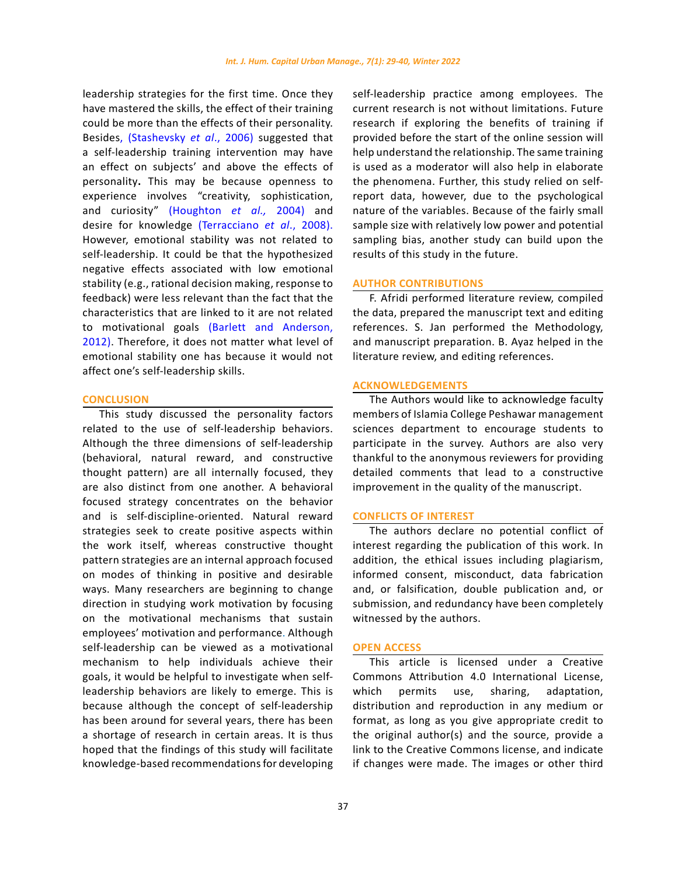leadership strategies for the first time. Once they have mastered the skills, the effect of their training could be more than the effects of their personality. Besides, (Stashevsky *et al*., 2006) suggested that a self-leadership training intervention may have an effect on subjects' and above the effects of personality**.** This may be because openness to experience involves "creativity, sophistication, and curiosity" (Houghton *et al.,* 2004) and desire for knowledge (Terracciano *et al*., 2008). However, emotional stability was not related to self-leadership. It could be that the hypothesized negative effects associated with low emotional stability (e.g., rational decision making, response to feedback) were less relevant than the fact that the characteristics that are linked to it are not related to motivational goals (Barlett and Anderson, 2012). Therefore, it does not matter what level of emotional stability one has because it would not affect one's self-leadership skills.

#### **CONCLUSION**

This study discussed the personality factors related to the use of self-leadership behaviors. Although the three dimensions of self-leadership (behavioral, natural reward, and constructive thought pattern) are all internally focused, they are also distinct from one another. A behavioral focused strategy concentrates on the behavior and is self-discipline-oriented. Natural reward strategies seek to create positive aspects within the work itself, whereas constructive thought pattern strategies are an internal approach focused on modes of thinking in positive and desirable ways. Many researchers are beginning to change direction in studying work motivation by focusing on the motivational mechanisms that sustain employees' motivation and performance. Although self-leadership can be viewed as a motivational mechanism to help individuals achieve their goals, it would be helpful to investigate when selfleadership behaviors are likely to emerge. This is because although the concept of self-leadership has been around for several years, there has been a shortage of research in certain areas. It is thus hoped that the findings of this study will facilitate knowledge-based recommendations for developing self-leadership practice among employees. The current research is not without limitations. Future research if exploring the benefits of training if provided before the start of the online session will help understand the relationship. The same training is used as a moderator will also help in elaborate the phenomena. Further, this study relied on selfreport data, however, due to the psychological nature of the variables. Because of the fairly small sample size with relatively low power and potential sampling bias, another study can build upon the results of this study in the future.

## **AUTHOR CONTRIBUTIONS**

F. Afridi performed literature review, compiled the data, prepared the manuscript text and editing references. S. Jan performed the Methodology, and manuscript preparation. B. Ayaz helped in the literature review, and editing references.

# **ACKNOWLEDGEMENTS**

The Authors would like to acknowledge faculty members of Islamia College Peshawar management sciences department to encourage students to participate in the survey. Authors are also very thankful to the anonymous reviewers for providing detailed comments that lead to a constructive improvement in the quality of the manuscript.

#### **CONFLICTS OF INTEREST**

The authors declare no potential conflict of interest regarding the publication of this work. In addition, the ethical issues including plagiarism, informed consent, misconduct, data fabrication and, or falsification, double publication and, or submission, and redundancy have been completely witnessed by the authors.

#### **OPEN ACCESS**

This article is licensed under a Creative Commons Attribution 4.0 International License, which permits use, sharing, adaptation, distribution and reproduction in any medium or format, as long as you give appropriate credit to the original author(s) and the source, provide a link to the Creative Commons license, and indicate if changes were made. The images or other third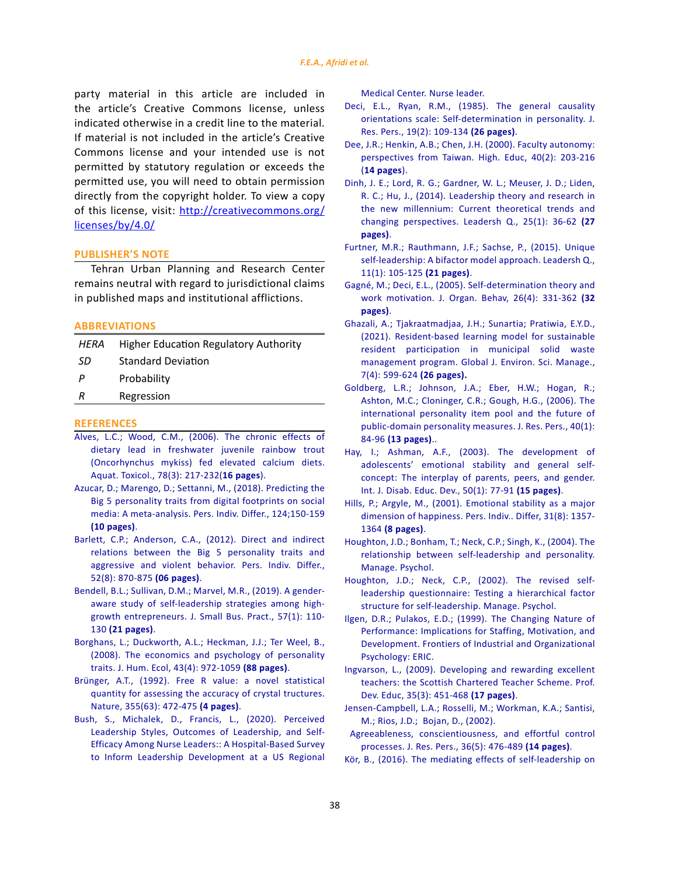party material in this article are included in the article's Creative Commons license, unless indicated otherwise in a credit line to the material. If material is not included in the article's Creative Commons license and your intended use is not permitted by statutory regulation or exceeds the permitted use, you will need to obtain permission directly from the copyright holder. To view a copy of this license, visit: [http://creativecommons.org/](http://creativecommons.org/licenses/by/4.0/) [licenses/by/4.0/](http://creativecommons.org/licenses/by/4.0/)

#### **PUBLISHER'S NOTE**

Tehran Urban Planning and Research Center remains neutral with regard to jurisdictional claims in published maps and institutional afflictions.

#### **ABBREVIATIONS**

| HERA | <b>Higher Education Regulatory Authority</b> |
|------|----------------------------------------------|
| SD   | <b>Standard Deviation</b>                    |
| Р    | Probability                                  |
| R    | Regression                                   |
|      |                                              |

#### **REFERENCES**

- [Alves, L.C.; Wood, C.M., \(2006\). The chronic effects of](https://www.sciencedirect.com/science/article/abs/pii/S0166445X06000981)  [dietary lead in freshwater juvenile rainbow trout](https://www.sciencedirect.com/science/article/abs/pii/S0166445X06000981)  [\(Oncorhynchus mykiss\) fed elevated calcium diets.](https://www.sciencedirect.com/science/article/abs/pii/S0166445X06000981)  [Aquat. Toxicol., 78\(3\): 217-232\(](https://www.sciencedirect.com/science/article/abs/pii/S0166445X06000981)**16 pages**).
- [Azucar, D.; Marengo, D.; Settanni, M., \(2018\). Predicting the](https://www.sciencedirect.com/science/article/abs/pii/S0191886917307328)  [Big 5 personality traits from digital footprints on social](https://www.sciencedirect.com/science/article/abs/pii/S0191886917307328)  [media: A meta-analysis. Pers. Indiv. Differ., 124;150-159](https://www.sciencedirect.com/science/article/abs/pii/S0191886917307328)  **[\(10 pages\)](https://www.sciencedirect.com/science/article/abs/pii/S0191886917307328)**.
- [Barlett, C.P.; Anderson, C.A., \(2012\). Direct and indirect](https://www.sciencedirect.com/science/article/abs/pii/S0191886912000578)  [relations between the Big 5 personality traits and](https://www.sciencedirect.com/science/article/abs/pii/S0191886912000578)  [aggressive and violent behavior. Pers. Indiv. Differ.,](https://www.sciencedirect.com/science/article/abs/pii/S0191886912000578)  [52\(8\): 870-875](https://www.sciencedirect.com/science/article/abs/pii/S0191886912000578) **(06 pages)**.
- [Bendell, B.L.; Sullivan, D.M.; Marvel, M.R., \(2019\). A gender‐](https://www.tandfonline.com/doi/abs/10.1111/jsbm.12490) aware study of self-leadership strategies among high[growth entrepreneurs. J. Small Bus. Pract., 57\(1\): 110-](https://www.tandfonline.com/doi/abs/10.1111/jsbm.12490) 130 **[\(21 pages\)](https://www.tandfonline.com/doi/abs/10.1111/jsbm.12490)**.
- [Borghans, L.; Duckworth, A.L.; Heckman, J.J.; Ter Weel, B.,](http://jhr.uwpress.org/content/43/4/972.short7)  [\(2008\). The economics and psychology of personality](http://jhr.uwpress.org/content/43/4/972.short7)  [traits. J. Hum. Ecol, 43\(4\): 972-1059](http://jhr.uwpress.org/content/43/4/972.short7) **(88 pages)**.
- [Brünger, A.T., \(1992\). Free R value: a novel statistical](https://www.nature.com/articles/355472a0)  [quantity for assessing the accuracy of crystal tructures.](https://www.nature.com/articles/355472a0)  [Nature, 355\(63\): 472-475](https://www.nature.com/articles/355472a0) **(4 pages)**.
- [Bush, S., Michalek, D., Francis, L., \(2020\). Perceived](https://www.sciencedirect.com/science/article/abs/pii/S1541461220302068)  [Leadership Styles, Outcomes of Leadership, and Self-](https://www.sciencedirect.com/science/article/abs/pii/S1541461220302068)[Efficacy Among Nurse Leaders:: A Hospital-Based Survey](https://www.sciencedirect.com/science/article/abs/pii/S1541461220302068)  [to Inform Leadership Development at a US Regional](https://www.sciencedirect.com/science/article/abs/pii/S1541461220302068)

[Medical Center. Nurse leader.](https://www.sciencedirect.com/science/article/abs/pii/S1541461220302068)

- [Deci, E.L., Ryan, R.M., \(1985\). The general causality](https://link.springer.com/article/10.1023/A:1004009703603) [orientations scale: Self-determination in personality. J.](https://link.springer.com/article/10.1023/A:1004009703603) [Res. Pers., 19\(2\): 109-134](https://link.springer.com/article/10.1023/A:1004009703603) **(26 pages)**.
- [Dee, J.R.; Henkin, A.B.; Chen, J.H. \(2000\). Faculty autonomy:](https://www.sciencedirect.com/science/article/abs/pii/0092656685900236) [perspectives from Taiwan. High. Educ, 40\(2\): 203-216](https://www.sciencedirect.com/science/article/abs/pii/0092656685900236) (**[14 pages](https://www.sciencedirect.com/science/article/abs/pii/0092656685900236)**).
- [Dinh, J. E.; Lord, R. G.; Gardner, W. L.; Meuser, J. D.; Liden,](https://www.sciencedirect.com/science/article/pii/S1048984313001203) [R. C.; Hu, J., \(2014\). Leadership theory and research in](https://www.sciencedirect.com/science/article/pii/S1048984313001203) [the new millennium: Current theoretical trends and](https://www.sciencedirect.com/science/article/pii/S1048984313001203) [changing perspectives. Leadersh Q., 25\(1\): 36-62](https://www.sciencedirect.com/science/article/pii/S1048984313001203) **(27 [pages\)](https://www.sciencedirect.com/science/article/pii/S1048984313001203)**.
- [Furtner, M.R.; Rauthmann, J.F.; Sachse, P., \(2015\). Unique](https://journals.sagepub.com/doi/abs/10.1177/1742715013511484) [self-leadership: A bifactor model approach. Leadersh Q.,](https://journals.sagepub.com/doi/abs/10.1177/1742715013511484) [11\(1\): 105-125](https://journals.sagepub.com/doi/abs/10.1177/1742715013511484) **(21 pages)**.
- [Gagné, M.; Deci, E.L., \(2005\). Self‐determination theory and](https://onlinelibrary.wiley.com/doi/abs/10.1002/job.322) [work motivation. J. Organ. Behav, 26\(4\): 331-362](https://onlinelibrary.wiley.com/doi/abs/10.1002/job.322) **(32 [pages\)](https://onlinelibrary.wiley.com/doi/abs/10.1002/job.322)**.
- [Ghazali, A.; Tjakraatmadjaa, J.H.; Sunartia; Pratiwia, E.Y.D.,](https://www.gjesm.net/article_244273.html) [\(2021\). Resident-based learning model for sustainable](https://www.gjesm.net/article_244273.html) [resident participation in municipal solid waste](https://www.gjesm.net/article_244273.html) [management program. Global J. Environ. Sci. Manage.,](https://www.gjesm.net/article_244273.html) [7\(4\): 599-624](https://www.gjesm.net/article_244273.html) **(26 pages).**
- [Goldberg, L.R.; Johnson, J.A.; Eber, H.W.; Hogan, R.;](https://www.sciencedirect.com/science/article/abs/pii/S0092656605000553) [Ashton, M.C.; Cloninger, C.R.; Gough, H.G., \(2006\). The](https://www.sciencedirect.com/science/article/abs/pii/S0092656605000553) [international personality item pool and the future of](https://www.sciencedirect.com/science/article/abs/pii/S0092656605000553) [public-domain personality measures. J. Res. Pers., 40\(1\):](https://www.sciencedirect.com/science/article/abs/pii/S0092656605000553) 84-96 **[\(13 pages\)](https://www.sciencedirect.com/science/article/abs/pii/S0092656605000553)**..
- [Hay, I.; Ashman, A.F., \(2003\). The development of](https://www.tandfonline.com/doi/abs/10.1080/1034912032000053359) [adolescents' emotional stability and general self](https://www.tandfonline.com/doi/abs/10.1080/1034912032000053359)[concept: The interplay of parents, peers, and gender.](https://www.tandfonline.com/doi/abs/10.1080/1034912032000053359) [Int. J. Disab. Educ. Dev., 50\(1\): 77-91](https://www.tandfonline.com/doi/abs/10.1080/1034912032000053359) **(15 pages)**.
- [Hills, P.; Argyle, M., \(2001\). Emotional stability as a major](https://www.sciencedirect.com/science/article/abs/pii/S0191886900002294) [dimension of happiness. Pers. Indiv.. Differ, 31\(8\): 1357-](https://www.sciencedirect.com/science/article/abs/pii/S0191886900002294) 1364 **[\(8 pages\)](https://www.sciencedirect.com/science/article/abs/pii/S0191886900002294)**.
- [Houghton, J.D.; Bonham, T.; Neck, C.P.; Singh, K., \(2004\). The](https://www.emerald.com/insight/content/doi/10.1108/02683940410537963/full/html) [relationship between self‐leadership and personality.](https://www.emerald.com/insight/content/doi/10.1108/02683940410537963/full/html) [Manage. Psychol.](https://www.emerald.com/insight/content/doi/10.1108/02683940410537963/full/html)
- Houghton, J.D.; Neck, C.P., (2002). The revised self[leadership questionnaire: Testing a hierarchical factor](https://www.emerald.com/insight/content/doi/10.1108/02683940210450484/full/html) [structure for self‐leadership. Manage. Psychol.](https://www.emerald.com/insight/content/doi/10.1108/02683940210450484/full/html)
- [Ilgen, D.R.; Pulakos, E.D.; \(1999\). The Changing Nature of](https://eric.ed.gov/?id=ED440304) [Performance: Implications for Staffing, Motivation, and](https://eric.ed.gov/?id=ED440304) [Development. Frontiers of Industrial and Organizational](https://eric.ed.gov/?id=ED440304) [Psychology: ERIC.](https://eric.ed.gov/?id=ED440304)
- [Ingvarson, L., \(2009\). Developing and rewarding excellent](https://www.tandfonline.com/doi/abs/10.1080/19415250903016707) [teachers: the Scottish Chartered Teacher Scheme. Prof.](https://www.tandfonline.com/doi/abs/10.1080/19415250903016707) [Dev. Educ, 35\(3\): 451-468](https://www.tandfonline.com/doi/abs/10.1080/19415250903016707) **(17 pages)**.
- [Jensen-Campbell, L.A.; Rosselli, M.; Workman, K.A.; Santisi,](https://www.sciencedirect.com/science/article/abs/pii/S0092656602000041) [M.; Rios, J.D.; Bojan, D., \(2002\).](https://www.sciencedirect.com/science/article/abs/pii/S0092656602000041)
- [Agreeableness, conscientiousness, and effortful control](https://www.sciencedirect.com/science/article/abs/pii/S0092656602000041) [processes. J. Res. Pers., 36\(5\): 476-489](https://www.sciencedirect.com/science/article/abs/pii/S0092656602000041) **(14 pages)**.
- [Kör, B., \(2016\). The mediating effects of self-leadership on](https://springerplus.springeropen.com/articles/10.1186/s40064-016-3556-8)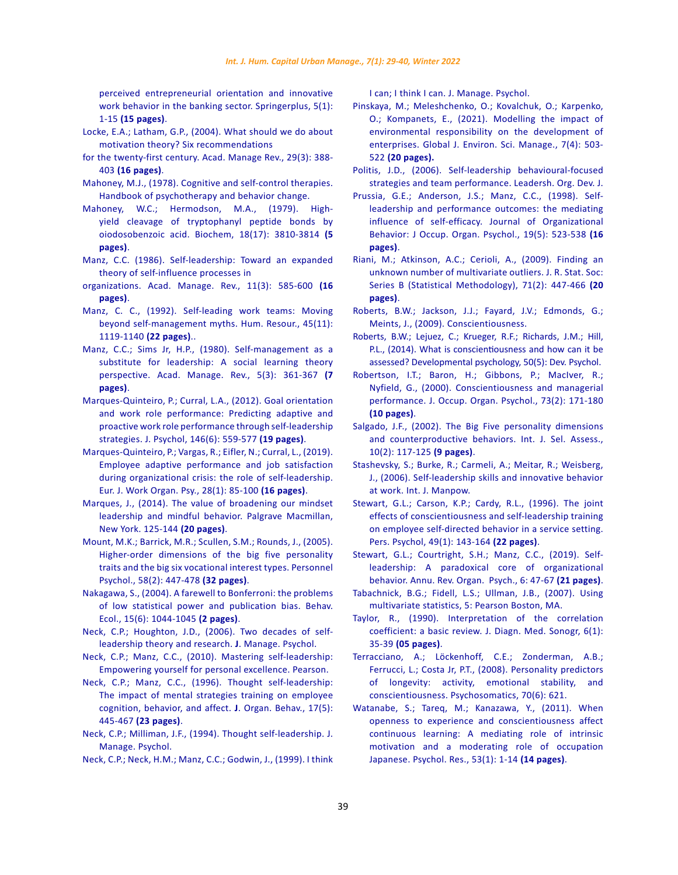[perceived entrepreneurial orientation and innovative](https://springerplus.springeropen.com/articles/10.1186/s40064-016-3556-8)  [work behavior in the banking sector. Springerplus, 5\(1\):](https://springerplus.springeropen.com/articles/10.1186/s40064-016-3556-8)  1-15 **[\(15 pages\)](https://springerplus.springeropen.com/articles/10.1186/s40064-016-3556-8)**.

- [Locke, E.A.; Latham, G.P., \(2004\). What should we do about](https://journals.aom.org/doi/abs/10.5465/AMR.2004.13670974)  [motivation theory? Six recommendations](https://journals.aom.org/doi/abs/10.5465/AMR.2004.13670974)
- [for the twenty-first century. Acad. Manage Rev., 29\(3\): 388-](https://journals.aom.org/doi/abs/10.5465/AMR.2004.13670974) 403 **[\(16 pages\)](https://journals.aom.org/doi/abs/10.5465/AMR.2004.13670974)**.
- [Mahoney, M.J., \(1978\). Cognitive and self-control therapies.](https://ci.nii.ac.jp/naid/10011743463/)  [Handbook of psychotherapy and behavior change.](https://ci.nii.ac.jp/naid/10011743463/)
- [Mahoney, W.C.; Hermodson, M.A., \(1979\). High](https://pubs.acs.org/doi/pdf/10.1021/bi00584a026)[yield cleavage of tryptophanyl peptide bonds by](https://pubs.acs.org/doi/pdf/10.1021/bi00584a026)  [oiodosobenzoic acid. Biochem, 18\(17\): 3810-3814](https://pubs.acs.org/doi/pdf/10.1021/bi00584a026) **(5 [pages\)](https://pubs.acs.org/doi/pdf/10.1021/bi00584a026)**.
- [Manz, C.C. \(1986\). Self-leadership: Toward an expanded](https://journals.aom.org/doi/abs/10.5465/amr.1986.4306232)  [theory of self-influence processes in](https://journals.aom.org/doi/abs/10.5465/amr.1986.4306232)
- [organizations. Acad. Manage. Rev., 11\(3\): 585-600](https://journals.aom.org/doi/abs/10.5465/amr.1986.4306232) **(16 [pages\)](https://journals.aom.org/doi/abs/10.5465/amr.1986.4306232)**.
- [Manz, C. C., \(1992\). Self-leading work teams: Moving](https://journals.sagepub.com/doi/abs/10.1177/001872679204501101)  [beyond self-management myths. Hum. Resour., 45\(11\):](https://journals.sagepub.com/doi/abs/10.1177/001872679204501101)  [1119-1140](https://journals.sagepub.com/doi/abs/10.1177/001872679204501101) **(22 pages)**..
- [Manz, C.C.; Sims Jr, H.P., \(1980\). Self-management as a](https://journals.aom.org/doi/abs/10.5465/amr.1980.4288845)  [substitute for leadership: A social learning theory](https://journals.aom.org/doi/abs/10.5465/amr.1980.4288845)  [perspective. Acad. Manage. Rev., 5\(3\): 361-367](https://journals.aom.org/doi/abs/10.5465/amr.1980.4288845) **(7 [pages\)](https://journals.aom.org/doi/abs/10.5465/amr.1980.4288845)**.
- [Marques-Quinteiro, P.; Curral, L.A., \(2012\). Goal orientation](https://www.tandfonline.com/doi/abs/10.1080/00223980.2012.656157)  [and work role performance: Predicting adaptive and](https://www.tandfonline.com/doi/abs/10.1080/00223980.2012.656157)  [proactive work role performance through self-leadership](https://www.tandfonline.com/doi/abs/10.1080/00223980.2012.656157)  [strategies. J. Psychol, 146\(6\): 559-577](https://www.tandfonline.com/doi/abs/10.1080/00223980.2012.656157) **(19 pages)**.
- [Marques-Quinteiro, P.; Vargas, R.; Eifler, N.; Curral, L., \(2019\).](https://www.tandfonline.com/doi/abs/10.1080/1359432X.2018.1551882)  [Employee adaptive performance and job satisfaction](https://www.tandfonline.com/doi/abs/10.1080/1359432X.2018.1551882)  [during organizational crisis: the role of self-leadership.](https://www.tandfonline.com/doi/abs/10.1080/1359432X.2018.1551882)  [Eur. J. Work Organ. Psy., 28\(1\): 85-100](https://www.tandfonline.com/doi/abs/10.1080/1359432X.2018.1551882) **(16 pages)**.
- [Marques, J., \(2014\). The value of broadening our mindset](https://link.springer.com/chapter/10.1057/9781137403797 8)  [leadership and mindful behavior. Palgrave Macmillan,](https://link.springer.com/chapter/10.1057/9781137403797 8)  [New York. 125-144](https://link.springer.com/chapter/10.1057/9781137403797 8) **(20 pages)**.
- Mount, M.K.; Barrick, M.R.; Scullen, S.M.; Rounds, J., (2005). Higher‐order dimensions of the big five personality traits and the big six vocational interest types. Personnel Psychol., 58(2): 447-478 **(32 pages)**.
- [Nakagawa, S., \(2004\). A farewell to Bonferroni: the problems](https://academic.oup.com/beheco/article-abstract/15/6/1044/206216)  [of low statistical power and publication bias. Behav.](https://academic.oup.com/beheco/article-abstract/15/6/1044/206216)  [Ecol., 15\(6\): 1044-1045](https://academic.oup.com/beheco/article-abstract/15/6/1044/206216) **(2 pages)**.
- [Neck, C.P.; Houghton, J.D., \(2006\). Two decades of self‐](https://www.emerald.com/insight/content/doi/10.1108/02683940610663097/full/html?mobileUi=0&fullSc=1&mbSc=1&fullSc=1&fullSc=1) [leadership theory and research.](https://www.emerald.com/insight/content/doi/10.1108/02683940610663097/full/html?mobileUi=0&fullSc=1&mbSc=1&fullSc=1&fullSc=1) **J**. Manage. Psychol.
- [Neck, C.P.; Manz, C.C., \(2010\). Mastering self-leadership:](https://www.fairmontstate.edu/files/u1/wvrocks-spring-2015-session-one-course-descriptions-and-textbooks.pdf)  [Empowering yourself for personal excellence. Pearson.](https://www.fairmontstate.edu/files/u1/wvrocks-spring-2015-session-one-course-descriptions-and-textbooks.pdf)
- [Neck, C.P.; Manz, C.C., \(1996\). Thought self‐leadership:](https://onlinelibrary.wiley.com/doi/abs/10.1002/(SICI)1099-1379(199609)17:5%3C445::AID-JOB770%3E3.0.CO;2-N)  [The impact of mental strategies training on employee](https://onlinelibrary.wiley.com/doi/abs/10.1002/(SICI)1099-1379(199609)17:5%3C445::AID-JOB770%3E3.0.CO;2-N)  [cognition, behavior, and affect.](https://onlinelibrary.wiley.com/doi/abs/10.1002/(SICI)1099-1379(199609)17:5%3C445::AID-JOB770%3E3.0.CO;2-N) **J**. Organ. Behav., 17(5): 445-467 **[\(23 pages\)](https://onlinelibrary.wiley.com/doi/abs/10.1002/(SICI)1099-1379(199609)17:5%3C445::AID-JOB770%3E3.0.CO;2-N)**.
- [Neck, C.P.; Milliman, J.F., \(1994\). Thought self‐leadership. J.](https://www.emerald.com/insight/content/doi/10.1108/02683949410070151/full/html)  [Manage. Psychol.](https://www.emerald.com/insight/content/doi/10.1108/02683949410070151/full/html)
- [Neck, C.P.; Neck, H.M.; Manz, C.C.; Godwin, J., \(1999\). I think](https://www.emerald.com/insight/content/doi/10.1108/02683949910287912/full/html)

[I can; I think I can. J. Manage. Psychol.](https://www.emerald.com/insight/content/doi/10.1108/02683949910287912/full/html)

- Pinskaya, M.; Meleshchenko, O.; Kovalchuk, O.; Karpenko, O.; Kompanets, E., (2021). Modelling the impact of environmental responsibility on the development of enterprises. Global J. Environ. Sci. Manage., 7(4): 503- 522 **(20 pages).**
- [Politis, J.D., \(2006\). Self‐leadership behavioural‐focused](https://www.emerald.com/insight/content/doi/10.1108/01437730610657721/full/html) [strategies and team performance. Leadersh. Org. Dev. J.](https://www.emerald.com/insight/content/doi/10.1108/01437730610657721/full/html)
- [Prussia, G.E.; Anderson, J.S.; Manz, C.C., \(1998\). Self‐](https://onlinelibrary.wiley.com/doi/abs/10.1002/(SICI)1099-1379(199809)19:5%3C523::AID-JOB860%3E3.0.CO;2-I) [leadership and performance outcomes: the mediating](https://onlinelibrary.wiley.com/doi/abs/10.1002/(SICI)1099-1379(199809)19:5%3C523::AID-JOB860%3E3.0.CO;2-I) [influence of self‐efficacy. Journal of Organizational](https://onlinelibrary.wiley.com/doi/abs/10.1002/(SICI)1099-1379(199809)19:5%3C523::AID-JOB860%3E3.0.CO;2-I) [Behavior: J Occup. Organ. Psychol., 19\(5\): 523-538](https://onlinelibrary.wiley.com/doi/abs/10.1002/(SICI)1099-1379(199809)19:5%3C523::AID-JOB860%3E3.0.CO;2-I) **(16 [pages\)](https://onlinelibrary.wiley.com/doi/abs/10.1002/(SICI)1099-1379(199809)19:5%3C523::AID-JOB860%3E3.0.CO;2-I)**.
- [Riani, M.; Atkinson, A.C.; Cerioli, A., \(2009\). Finding an](https://rss.onlinelibrary.wiley.com/doi/abs/10.1111/j.1467-9868.2008.00692.x) [unknown number of multivariate outliers. J. R. Stat. Soc:](https://rss.onlinelibrary.wiley.com/doi/abs/10.1111/j.1467-9868.2008.00692.x) [Series B \(Statistical Methodology\), 71\(2\): 447-466](https://rss.onlinelibrary.wiley.com/doi/abs/10.1111/j.1467-9868.2008.00692.x) **(20 [pages\)](https://rss.onlinelibrary.wiley.com/doi/abs/10.1111/j.1467-9868.2008.00692.x)**.
- [Roberts, B.W.; Jackson, J.J.; Fayard, J.V.; Edmonds, G.;](https://psycnet.apa.org/record/2009-12071-025) [Meints, J., \(2009\). Conscientiousness.](https://psycnet.apa.org/record/2009-12071-025)
- [Roberts, B.W.; Lejuez, C.; Krueger, R.F.; Richards, J.M.; Hill,](https://psycnet.apa.org/record/2012-35000-001) [P.L., \(2014\). What is conscientiousness and how can it be](https://psycnet.apa.org/record/2012-35000-001) [assessed? Developmental psychology, 50\(5\): Dev. Psychol.](https://psycnet.apa.org/record/2012-35000-001)
- [Robertson, I.T.; Baron, H.; Gibbons, P.; MacIver, R.;](https://bpspsychub.onlinelibrary.wiley.com/doi/abs/10.1348/096317900166967) [Nyfield, G., \(2000\). Conscientiousness and managerial](https://bpspsychub.onlinelibrary.wiley.com/doi/abs/10.1348/096317900166967) [performance. J. Occup. Organ. Psychol., 73\(2\): 171-180](https://bpspsychub.onlinelibrary.wiley.com/doi/abs/10.1348/096317900166967) **[\(10 pages\)](https://bpspsychub.onlinelibrary.wiley.com/doi/abs/10.1348/096317900166967)**.
- [Salgado, J.F., \(2002\). The Big Five personality dimensions](https://onlinelibrary.wiley.com/doi/abs/10.1111/1468-2389.00198) [and counterproductive behaviors. Int. J. Sel. Assess.,](https://onlinelibrary.wiley.com/doi/abs/10.1111/1468-2389.00198) [10\(2\): 117-125](https://onlinelibrary.wiley.com/doi/abs/10.1111/1468-2389.00198) **(9 pages)**.
- [Stashevsky, S.; Burke, R.; Carmeli, A.; Meitar, R.; Weisberg,](https://www.emerald.com/insight/content/doi/10.1108/01437720610652853/full/html) [J., \(2006\). Self‐leadership skills and innovative behavior](https://www.emerald.com/insight/content/doi/10.1108/01437720610652853/full/html) [at work. Int. J. Manpow.](https://www.emerald.com/insight/content/doi/10.1108/01437720610652853/full/html)
- [Stewart, G.L.; Carson, K.P.; Cardy, R.L., \(1996\). The joint](https://onlinelibrary.wiley.com/doi/abs/10.1111/j.1744-6570.1996.tb01795.x) [effects of conscientiousness and self‐leadership training](https://onlinelibrary.wiley.com/doi/abs/10.1111/j.1744-6570.1996.tb01795.x) [on employee self‐directed behavior in a service setting.](https://onlinelibrary.wiley.com/doi/abs/10.1111/j.1744-6570.1996.tb01795.x) [Pers. Psychol, 49\(1\): 143-164](https://onlinelibrary.wiley.com/doi/abs/10.1111/j.1744-6570.1996.tb01795.x) **(22 pages)**.
- [Stewart, G.L.; Courtright, S.H.; Manz, C.C., \(2019\). Self](https://www.annualreviews.org/doi/abs/10.1146/annurev-orgpsych-012218-015130?cookieSet=1)[leadership: A paradoxical core of organizational](https://www.annualreviews.org/doi/abs/10.1146/annurev-orgpsych-012218-015130?cookieSet=1) [behavior. Annu. Rev. Organ. Psych., 6: 47-67](https://www.annualreviews.org/doi/abs/10.1146/annurev-orgpsych-012218-015130?cookieSet=1) **(21 pages)**.
- [Tabachnick, B.G.; Fidell, L.S.; Ullman, J.B., \(2007\). Using](https://www.pearsonhighered.com/assets/preface/0/1/3/4/0134790545.pdf) [multivariate statistics, 5: Pearson Boston, MA.](https://www.pearsonhighered.com/assets/preface/0/1/3/4/0134790545.pdf)
- [Taylor, R., \(1990\). Interpretation of the correlation](https://journals.sagepub.com/doi/abs/10.1177/875647939000600106) [coefficient: a basic review. J. Diagn. Med. Sonogr, 6\(1\):](https://journals.sagepub.com/doi/abs/10.1177/875647939000600106) 35-39 **[\(05 pages\)](https://journals.sagepub.com/doi/abs/10.1177/875647939000600106)**.
- [Terracciano, A.; Löckenhoff, C.E.; Zonderman, A.B.;](https://www.ncbi.nlm.nih.gov/pmc/articles/PMC2505356/) [Ferrucci, L.; Costa Jr, P.T., \(2008\). Personality predictors](https://www.ncbi.nlm.nih.gov/pmc/articles/PMC2505356/) [of longevity: activity, emotional stability, and](https://www.ncbi.nlm.nih.gov/pmc/articles/PMC2505356/) [conscientiousness. Psychosomatics, 70\(6\): 621.](https://www.ncbi.nlm.nih.gov/pmc/articles/PMC2505356/)
- [Watanabe, S.; Tareq, M.; Kanazawa, Y., \(2011\). When](https://onlinelibrary.wiley.com/doi/full/10.1111/j.1468-5884.2010.00447.x) [openness to experience and conscientiousness affect](https://onlinelibrary.wiley.com/doi/full/10.1111/j.1468-5884.2010.00447.x) [continuous learning: A mediating role of intrinsic](https://onlinelibrary.wiley.com/doi/full/10.1111/j.1468-5884.2010.00447.x) [motivation and a moderating role of occupation](https://onlinelibrary.wiley.com/doi/full/10.1111/j.1468-5884.2010.00447.x) [Japanese. Psychol. Res., 53\(1\): 1-14](https://onlinelibrary.wiley.com/doi/full/10.1111/j.1468-5884.2010.00447.x) **(14 pages)**.